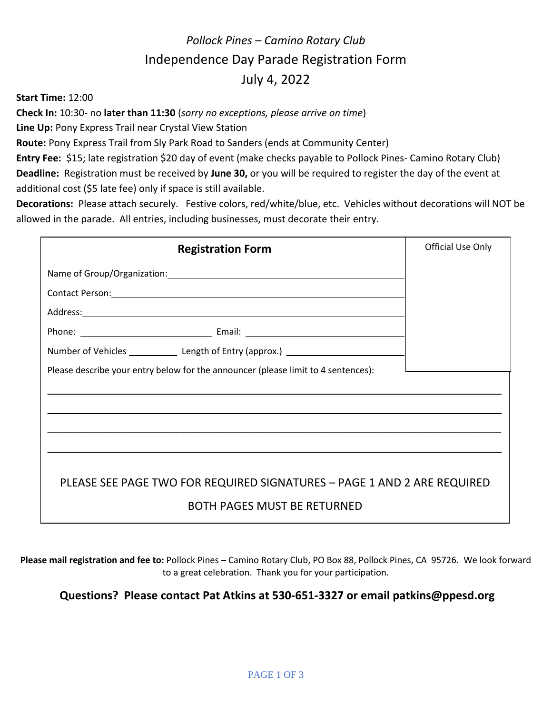## *Pollock Pines – Camino Rotary Club* Independence Day Parade Registration Form July 4, 2022

**Start Time:** 12:00

**Check In:** 10:30- no **later than 11:30** (*sorry no exceptions, please arrive on time*)

**Line Up:** Pony Express Trail near Crystal View Station

**Route:** Pony Express Trail from Sly Park Road to Sanders (ends at Community Center)

**Entry Fee:** \$15; late registration \$20 day of event (make checks payable to Pollock Pines- Camino Rotary Club) **Deadline:** Registration must be received by **June 30,** or you will be required to register the day of the event at additional cost (\$5 late fee) only if space is still available.

**Decorations:** Please attach securely. Festive colors, red/white/blue, etc. Vehicles without decorations will NOT be allowed in the parade. All entries, including businesses, must decorate their entry.

| Address: Address: Address: Address: Address: Address: Address: Address: Address: Address: Address: A |  |
|------------------------------------------------------------------------------------------------------|--|
|                                                                                                      |  |
| Number of Vehicles ________________ Length of Entry (approx.) ___________________                    |  |
|                                                                                                      |  |
| PLEASE SEE PAGE TWO FOR REQUIRED SIGNATURES - PAGE 1 AND 2 ARE REQUIRED                              |  |

**Please mail registration and fee to:** Pollock Pines – Camino Rotary Club, PO Box 88, Pollock Pines, CA 95726. We look forward to a great celebration. Thank you for your participation.

#### **Questions? Please contact Pat Atkins at 530-651-3327 or email patkins@ppesd.org**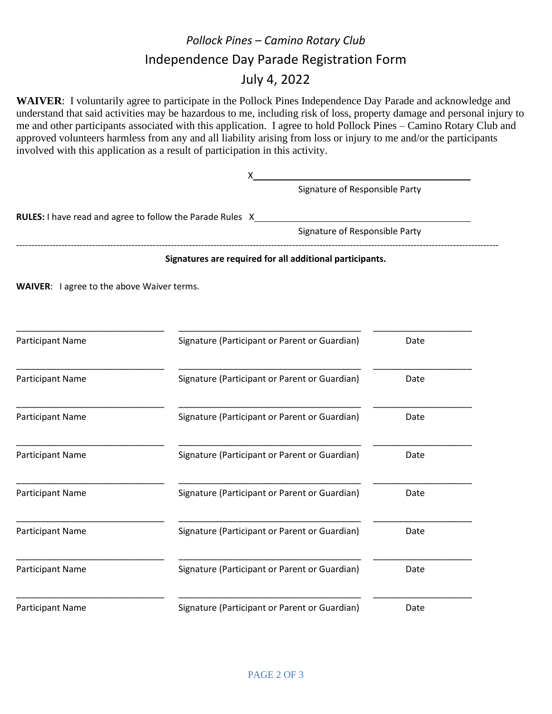## *Pollock Pines – Camino Rotary Club* Independence Day Parade Registration Form July 4, 2022

**WAIVER**: I voluntarily agree to participate in the Pollock Pines Independence Day Parade and acknowledge and understand that said activities may be hazardous to me, including risk of loss, property damage and personal injury to me and other participants associated with this application. I agree to hold Pollock Pines – Camino Rotary Club and approved volunteers harmless from any and all liability arising from loss or injury to me and/or the participants involved with this application as a result of participation in this activity.

|                                            | x                                                                |      |  |
|--------------------------------------------|------------------------------------------------------------------|------|--|
|                                            | Signature of Responsible Party                                   |      |  |
|                                            | <b>RULES:</b> I have read and agree to follow the Parade Rules X |      |  |
|                                            | Signature of Responsible Party                                   |      |  |
|                                            | Signatures are required for all additional participants.         |      |  |
| WAIVER: I agree to the above Waiver terms. |                                                                  |      |  |
|                                            |                                                                  |      |  |
| <b>Participant Name</b>                    | Signature (Participant or Parent or Guardian)                    | Date |  |
| <b>Participant Name</b>                    | Signature (Participant or Parent or Guardian)                    | Date |  |
| Participant Name                           | Signature (Participant or Parent or Guardian)                    | Date |  |
| Participant Name                           | Signature (Participant or Parent or Guardian)                    | Date |  |
| Participant Name                           | Signature (Participant or Parent or Guardian)                    | Date |  |
| Participant Name                           | Signature (Participant or Parent or Guardian)                    | Date |  |
| Participant Name                           | Signature (Participant or Parent or Guardian)                    | Date |  |
| Participant Name                           | Signature (Participant or Parent or Guardian)                    | Date |  |